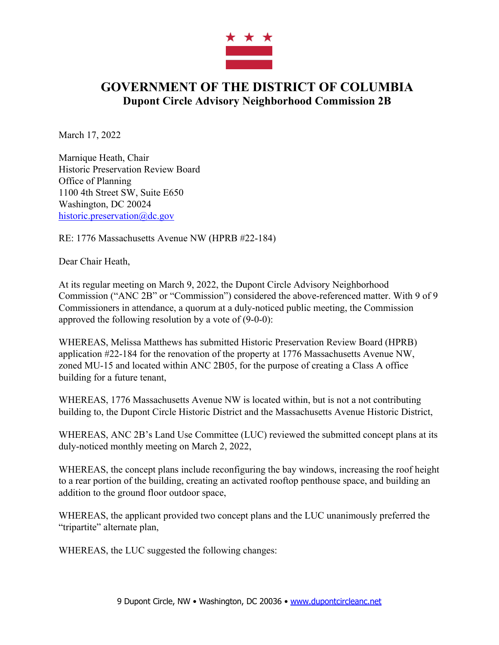

## **GOVERNMENT OF THE DISTRICT OF COLUMBIA Dupont Circle Advisory Neighborhood Commission 2B**

March 17, 2022

Marnique Heath, Chair Historic Preservation Review Board Office of Planning 1100 4th Street SW, Suite E650 Washington, DC 20024 historic.preservation@dc.gov

RE: 1776 Massachusetts Avenue NW (HPRB #22-184)

Dear Chair Heath,

At its regular meeting on March 9, 2022, the Dupont Circle Advisory Neighborhood Commission ("ANC 2B" or "Commission") considered the above-referenced matter. With 9 of 9 Commissioners in attendance, a quorum at a duly-noticed public meeting, the Commission approved the following resolution by a vote of (9-0-0):

WHEREAS, Melissa Matthews has submitted Historic Preservation Review Board (HPRB) application #22-184 for the renovation of the property at 1776 Massachusetts Avenue NW, zoned MU-15 and located within ANC 2B05, for the purpose of creating a Class A office building for a future tenant,

WHEREAS, 1776 Massachusetts Avenue NW is located within, but is not a not contributing building to, the Dupont Circle Historic District and the Massachusetts Avenue Historic District,

WHEREAS, ANC 2B's Land Use Committee (LUC) reviewed the submitted concept plans at its duly-noticed monthly meeting on March 2, 2022,

WHEREAS, the concept plans include reconfiguring the bay windows, increasing the roof height to a rear portion of the building, creating an activated rooftop penthouse space, and building an addition to the ground floor outdoor space,

WHEREAS, the applicant provided two concept plans and the LUC unanimously preferred the "tripartite" alternate plan,

WHEREAS, the LUC suggested the following changes: